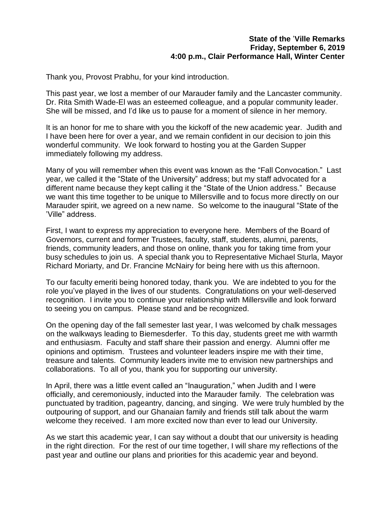#### **State of the** '**Ville Remarks Friday, September 6, 2019 4:00 p.m., Clair Performance Hall, Winter Center**

Thank you, Provost Prabhu, for your kind introduction.

This past year, we lost a member of our Marauder family and the Lancaster community. Dr. Rita Smith Wade-El was an esteemed colleague, and a popular community leader. She will be missed, and I'd like us to pause for a moment of silence in her memory.

It is an honor for me to share with you the kickoff of the new academic year. Judith and I have been here for over a year, and we remain confident in our decision to join this wonderful community. We look forward to hosting you at the Garden Supper immediately following my address.

Many of you will remember when this event was known as the "Fall Convocation." Last year, we called it the "State of the University" address; but my staff advocated for a different name because they kept calling it the "State of the Union address." Because we want this time together to be unique to Millersville and to focus more directly on our Marauder spirit, we agreed on a new name. So welcome to the inaugural "State of the 'Ville" address.

First, I want to express my appreciation to everyone here. Members of the Board of Governors, current and former Trustees, faculty, staff, students, alumni, parents, friends, community leaders, and those on online, thank you for taking time from your busy schedules to join us. A special thank you to Representative Michael Sturla, Mayor Richard Moriarty, and Dr. Francine McNairy for being here with us this afternoon.

To our faculty emeriti being honored today, thank you. We are indebted to you for the role you've played in the lives of our students. Congratulations on your well-deserved recognition. I invite you to continue your relationship with Millersville and look forward to seeing you on campus. Please stand and be recognized.

On the opening day of the fall semester last year, I was welcomed by chalk messages on the walkways leading to Biemesderfer. To this day, students greet me with warmth and enthusiasm. Faculty and staff share their passion and energy. Alumni offer me opinions and optimism. Trustees and volunteer leaders inspire me with their time, treasure and talents. Community leaders invite me to envision new partnerships and collaborations. To all of you, thank you for supporting our university.

In April, there was a little event called an "Inauguration," when Judith and I were officially, and ceremoniously, inducted into the Marauder family. The celebration was punctuated by tradition, pageantry, dancing, and singing. We were truly humbled by the outpouring of support, and our Ghanaian family and friends still talk about the warm welcome they received. I am more excited now than ever to lead our University.

As we start this academic year, I can say without a doubt that our university is heading in the right direction. For the rest of our time together, I will share my reflections of the past year and outline our plans and priorities for this academic year and beyond.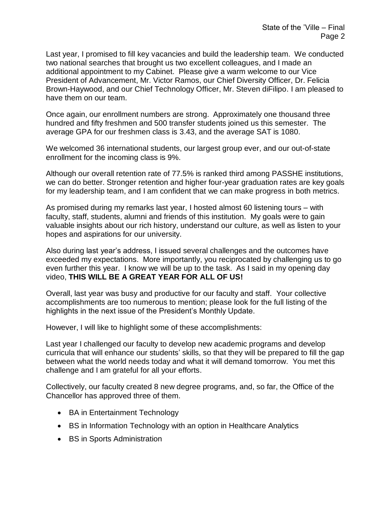Last year, I promised to fill key vacancies and build the leadership team. We conducted two national searches that brought us two excellent colleagues, and I made an additional appointment to my Cabinet. Please give a warm welcome to our Vice President of Advancement, Mr. Victor Ramos, our Chief Diversity Officer, Dr. Felicia Brown-Haywood, and our Chief Technology Officer, Mr. Steven diFilipo. I am pleased to have them on our team.

Once again, our enrollment numbers are strong. Approximately one thousand three hundred and fifty freshmen and 500 transfer students joined us this semester. The average GPA for our freshmen class is 3.43, and the average SAT is 1080.

We welcomed 36 international students, our largest group ever, and our out-of-state enrollment for the incoming class is 9%.

Although our overall retention rate of 77.5% is ranked third among PASSHE institutions, we can do better. Stronger retention and higher four-year graduation rates are key goals for my leadership team, and I am confident that we can make progress in both metrics.

As promised during my remarks last year, I hosted almost 60 listening tours – with faculty, staff, students, alumni and friends of this institution. My goals were to gain valuable insights about our rich history, understand our culture, as well as listen to your hopes and aspirations for our university.

Also during last year's address, I issued several challenges and the outcomes have exceeded my expectations. More importantly, you reciprocated by challenging us to go even further this year. I know we will be up to the task. As I said in my opening day video, **THIS WILL BE A GREAT YEAR FOR ALL OF US!**

Overall, last year was busy and productive for our faculty and staff. Your collective accomplishments are too numerous to mention; please look for the full listing of the highlights in the next issue of the President's Monthly Update.

However, I will like to highlight some of these accomplishments:

Last year I challenged our faculty to develop new academic programs and develop curricula that will enhance our students' skills, so that they will be prepared to fill the gap between what the world needs today and what it will demand tomorrow. You met this challenge and I am grateful for all your efforts.

Collectively, our faculty created 8 new degree programs, and, so far, the Office of the Chancellor has approved three of them.

- BA in Entertainment Technology
- BS in Information Technology with an option in Healthcare Analytics
- BS in Sports Administration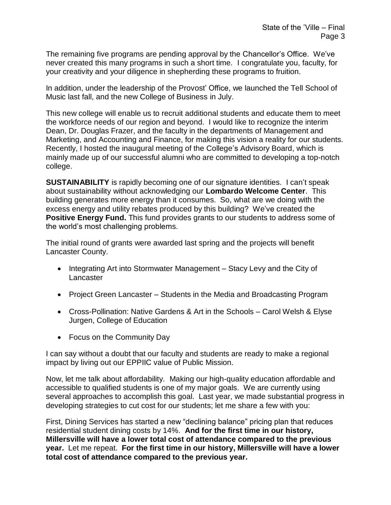The remaining five programs are pending approval by the Chancellor's Office. We've never created this many programs in such a short time. I congratulate you, faculty, for your creativity and your diligence in shepherding these programs to fruition.

In addition, under the leadership of the Provost' Office, we launched the Tell School of Music last fall, and the new College of Business in July.

This new college will enable us to recruit additional students and educate them to meet the workforce needs of our region and beyond. I would like to recognize the interim Dean, Dr. Douglas Frazer, and the faculty in the departments of Management and Marketing, and Accounting and Finance, for making this vision a reality for our students. Recently, I hosted the inaugural meeting of the College's Advisory Board, which is mainly made up of our successful alumni who are committed to developing a top-notch college.

**SUSTAINABILITY** is rapidly becoming one of our signature identities. I can't speak about sustainability without acknowledging our **Lombardo Welcome Center**. This building generates more energy than it consumes. So, what are we doing with the excess energy and utility rebates produced by this building? We've created the **Positive Energy Fund.** This fund provides grants to our students to address some of the world's most challenging problems.

The initial round of grants were awarded last spring and the projects will benefit Lancaster County.

- Integrating Art into Stormwater Management Stacy Levy and the City of Lancaster
- Project Green Lancaster Students in the Media and Broadcasting Program
- Cross-Pollination: Native Gardens & Art in the Schools Carol Welsh & Elyse Jurgen, College of Education
- Focus on the Community Day

I can say without a doubt that our faculty and students are ready to make a regional impact by living out our EPPIIC value of Public Mission.

Now, let me talk about affordability. Making our high-quality education affordable and accessible to qualified students is one of my major goals. We are currently using several approaches to accomplish this goal. Last year, we made substantial progress in developing strategies to cut cost for our students; let me share a few with you:

First, Dining Services has started a new "declining balance" pricing plan that reduces residential student dining costs by 14%. **And for the first time in our history, Millersville will have a lower total cost of attendance compared to the previous year.** Let me repeat. **For the first time in our history, Millersville will have a lower total cost of attendance compared to the previous year.**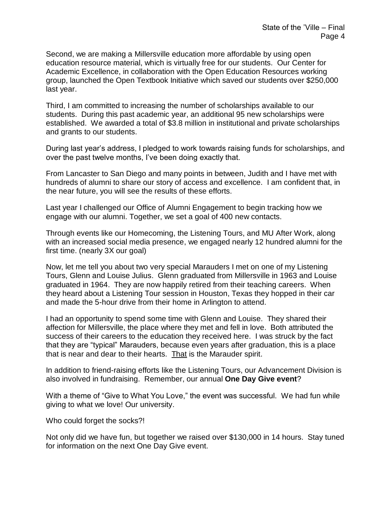Second, we are making a Millersville education more affordable by using open education resource material, which is virtually free for our students. Our Center for Academic Excellence, in collaboration with the Open Education Resources working group, launched the Open Textbook Initiative which saved our students over \$250,000 last year.

Third, I am committed to increasing the number of scholarships available to our students. During this past academic year, an additional 95 new scholarships were established. We awarded a total of \$3.8 million in institutional and private scholarships and grants to our students.

During last year's address, I pledged to work towards raising funds for scholarships, and over the past twelve months, I've been doing exactly that.

From Lancaster to San Diego and many points in between, Judith and I have met with hundreds of alumni to share our story of access and excellence. I am confident that, in the near future, you will see the results of these efforts.

Last year I challenged our Office of Alumni Engagement to begin tracking how we engage with our alumni. Together, we set a goal of 400 new contacts.

Through events like our Homecoming, the Listening Tours, and MU After Work, along with an increased social media presence, we engaged nearly 12 hundred alumni for the first time. (nearly 3X our goal)

Now, let me tell you about two very special Marauders I met on one of my Listening Tours, Glenn and Louise Julius. Glenn graduated from Millersville in 1963 and Louise graduated in 1964. They are now happily retired from their teaching careers. When they heard about a Listening Tour session in Houston, Texas they hopped in their car and made the 5-hour drive from their home in Arlington to attend.

I had an opportunity to spend some time with Glenn and Louise. They shared their affection for Millersville, the place where they met and fell in love. Both attributed the success of their careers to the education they received here. I was struck by the fact that they are "typical" Marauders, because even years after graduation, this is a place that is near and dear to their hearts. That is the Marauder spirit.

In addition to friend-raising efforts like the Listening Tours, our Advancement Division is also involved in fundraising. Remember, our annual **One Day Give event**?

With a theme of "Give to What You Love," the event was successful. We had fun while giving to what we love! Our university.

Who could forget the socks?!

Not only did we have fun, but together we raised over \$130,000 in 14 hours. Stay tuned for information on the next One Day Give event.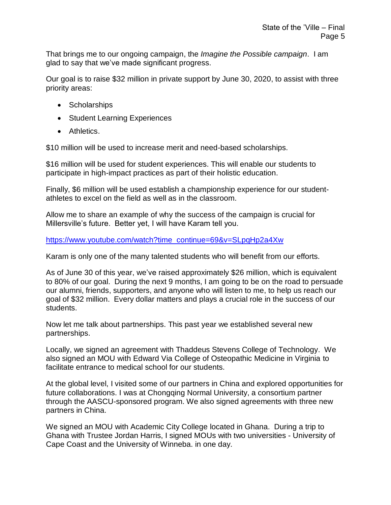That brings me to our ongoing campaign, the *Imagine the Possible campaign*. I am glad to say that we've made significant progress.

Our goal is to raise \$32 million in private support by June 30, 2020, to assist with three priority areas:

- Scholarships
- Student Learning Experiences
- Athletics.

\$10 million will be used to increase merit and need-based scholarships.

\$16 million will be used for student experiences. This will enable our students to participate in high-impact practices as part of their holistic education.

Finally, \$6 million will be used establish a championship experience for our studentathletes to excel on the field as well as in the classroom.

Allow me to share an example of why the success of the campaign is crucial for Millersville's future. Better yet, I will have Karam tell you.

[https://www.youtube.com/watch?time\\_continue=69&v=SLpqHp2a4Xw](https://www.youtube.com/watch?time_continue=69&v=SLpqHp2a4Xw)

Karam is only one of the many talented students who will benefit from our efforts.

As of June 30 of this year, we've raised approximately \$26 million, which is equivalent to 80% of our goal. During the next 9 months, I am going to be on the road to persuade our alumni, friends, supporters, and anyone who will listen to me, to help us reach our goal of \$32 million. Every dollar matters and plays a crucial role in the success of our students.

Now let me talk about partnerships. This past year we established several new partnerships.

Locally, we signed an agreement with Thaddeus Stevens College of Technology. We also signed an MOU with Edward Via College of Osteopathic Medicine in Virginia to facilitate entrance to medical school for our students.

At the global level, I visited some of our partners in China and explored opportunities for future collaborations. I was at Chongqing Normal University, a consortium partner through the AASCU-sponsored program. We also signed agreements with three new partners in China.

We signed an MOU with Academic City College located in Ghana. During a trip to Ghana with Trustee Jordan Harris, I signed MOUs with two universities - University of Cape Coast and the University of Winneba. in one day.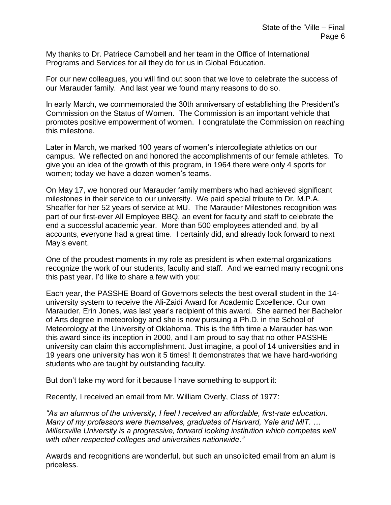My thanks to Dr. Patriece Campbell and her team in the Office of International Programs and Services for all they do for us in Global Education.

For our new colleagues, you will find out soon that we love to celebrate the success of our Marauder family. And last year we found many reasons to do so.

In early March, we commemorated the 30th anniversary of establishing the President's Commission on the Status of Women. The Commission is an important vehicle that promotes positive empowerment of women. I congratulate the Commission on reaching this milestone.

Later in March, we marked 100 years of women's intercollegiate athletics on our campus. We reflected on and honored the accomplishments of our female athletes. To give you an idea of the growth of this program, in 1964 there were only 4 sports for women; today we have a dozen women's teams.

On May 17, we honored our Marauder family members who had achieved significant milestones in their service to our university. We paid special tribute to Dr. M.P.A. Sheaffer for her 52 years of service at MU. The Marauder Milestones recognition was part of our first-ever All Employee BBQ, an event for faculty and staff to celebrate the end a successful academic year. More than 500 employees attended and, by all accounts, everyone had a great time. I certainly did, and already look forward to next May's event.

One of the proudest moments in my role as president is when external organizations recognize the work of our students, faculty and staff. And we earned many recognitions this past year. I'd like to share a few with you:

Each year, the PASSHE Board of Governors selects the best overall student in the 14 university system to receive the Ali-Zaidi Award for Academic Excellence. Our own Marauder, Erin Jones, was last year's recipient of this award. She earned her Bachelor of Arts degree in meteorology and she is now pursuing a Ph.D. in the School of Meteorology at the University of Oklahoma. This is the fifth time a Marauder has won this award since its inception in 2000, and I am proud to say that no other PASSHE university can claim this accomplishment. Just imagine, a pool of 14 universities and in 19 years one university has won it 5 times! It demonstrates that we have hard-working students who are taught by outstanding faculty.

But don't take my word for it because I have something to support it:

Recently, I received an email from Mr. William Overly, Class of 1977:

*"As an alumnus of the university, I feel I received an affordable, first-rate education. Many of my professors were themselves, graduates of Harvard, Yale and MIT. … Millersville University is a progressive, forward looking institution which competes well with other respected colleges and universities nationwide."*

Awards and recognitions are wonderful, but such an unsolicited email from an alum is priceless.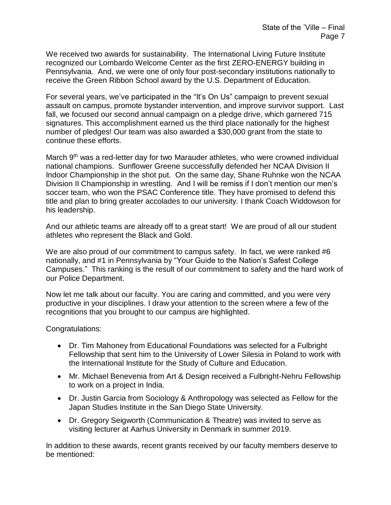We received two awards for sustainability. The International Living Future Institute recognized our Lombardo Welcome Center as the first ZERO-ENERGY building in Pennsylvania. And, we were one of only four post-secondary institutions nationally to receive the Green Ribbon School award by the U.S. Department of Education.

For several years, we've participated in the "It's On Us" campaign to prevent sexual assault on campus, promote bystander intervention, and improve survivor support. Last fall, we focused our second annual campaign on a pledge drive, which garnered 715 signatures. This accomplishment earned us the third place nationally for the highest number of pledges! Our team was also awarded a \$30,000 grant from the state to continue these efforts.

March 9<sup>th</sup> was a red-letter day for two Marauder athletes, who were crowned individual national champions. Sunflower Greene successfully defended her NCAA Division II Indoor Championship in the shot put. On the same day, Shane Ruhnke won the NCAA Division II Championship in wrestling. And I will be remiss if I don't mention our men's soccer team, who won the PSAC Conference title. They have promised to defend this title and plan to bring greater accolades to our university. I thank Coach Widdowson for his leadership.

And our athletic teams are already off to a great start! We are proud of all our student athletes who represent the Black and Gold.

We are also proud of our commitment to campus safety. In fact, we were ranked #6 nationally, and #1 in Pennsylvania by "Your Guide to the Nation's Safest College Campuses." This ranking is the result of our commitment to safety and the hard work of our Police Department.

Now let me talk about our faculty. You are caring and committed, and you were very productive in your disciplines. I draw your attention to the screen where a few of the recognitions that you brought to our campus are highlighted.

Congratulations:

- Dr. Tim Mahoney from Educational Foundations was selected for a Fulbright Fellowship that sent him to the University of Lower Silesia in Poland to work with the International Institute for the Study of Culture and Education.
- Mr. Michael Benevenia from Art & Design received a Fulbright-Nehru Fellowship to work on a project in India.
- Dr. Justin Garcia from Sociology & Anthropology was selected as Fellow for the Japan Studies Institute in the San Diego State University.
- Dr. Gregory Seigworth (Communication & Theatre) was invited to serve as visiting lecturer at Aarhus University in Denmark in summer 2019.

In addition to these awards, recent grants received by our faculty members deserve to be mentioned: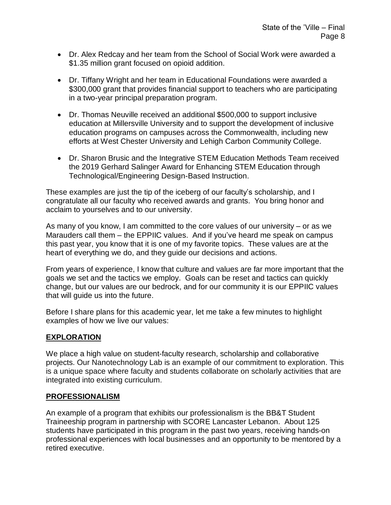- Dr. Alex Redcay and her team from the School of Social Work were awarded a \$1.35 million grant focused on opioid addition.
- Dr. Tiffany Wright and her team in Educational Foundations were awarded a \$300,000 grant that provides financial support to teachers who are participating in a two-year principal preparation program.
- Dr. Thomas Neuville received an additional \$500,000 to support inclusive education at Millersville University and to support the development of inclusive education programs on campuses across the Commonwealth, including new efforts at West Chester University and Lehigh Carbon Community College.
- Dr. Sharon Brusic and the Integrative STEM Education Methods Team received the 2019 Gerhard Salinger Award for Enhancing STEM Education through Technological/Engineering Design-Based Instruction.

These examples are just the tip of the iceberg of our faculty's scholarship, and I congratulate all our faculty who received awards and grants. You bring honor and acclaim to yourselves and to our university.

As many of you know, I am committed to the core values of our university – or as we Marauders call them – the EPPIIC values. And if you've heard me speak on campus this past year, you know that it is one of my favorite topics. These values are at the heart of everything we do, and they guide our decisions and actions.

From years of experience, I know that culture and values are far more important that the goals we set and the tactics we employ. Goals can be reset and tactics can quickly change, but our values are our bedrock, and for our community it is our EPPIIC values that will guide us into the future.

Before I share plans for this academic year, let me take a few minutes to highlight examples of how we live our values:

# **EXPLORATION**

We place a high value on student-faculty research, scholarship and collaborative projects. Our Nanotechnology Lab is an example of our commitment to exploration. This is a unique space where faculty and students collaborate on scholarly activities that are integrated into existing curriculum.

### **PROFESSIONALISM**

An example of a program that exhibits our professionalism is the BB&T Student Traineeship program in partnership with SCORE Lancaster Lebanon. About 125 students have participated in this program in the past two years, receiving hands-on professional experiences with local businesses and an opportunity to be mentored by a retired executive.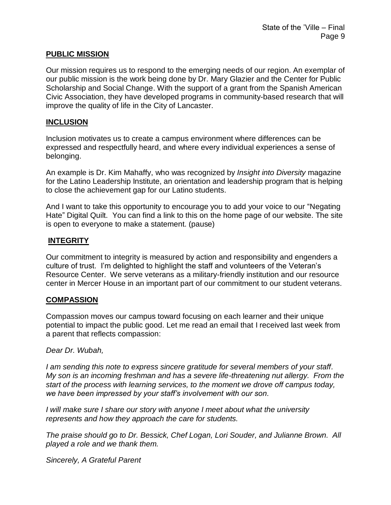### **PUBLIC MISSION**

Our mission requires us to respond to the emerging needs of our region. An exemplar of our public mission is the work being done by Dr. Mary Glazier and the Center for Public Scholarship and Social Change. With the support of a grant from the Spanish American Civic Association, they have developed programs in community-based research that will improve the quality of life in the City of Lancaster.

#### **INCLUSION**

Inclusion motivates us to create a campus environment where differences can be expressed and respectfully heard, and where every individual experiences a sense of belonging.

An example is Dr. Kim Mahaffy, who was recognized by *Insight into Diversity* magazine for the Latino Leadership Institute, an orientation and leadership program that is helping to close the achievement gap for our Latino students.

And I want to take this opportunity to encourage you to add your voice to our "Negating Hate" Digital Quilt. You can find a link to this on the home page of our website. The site is open to everyone to make a statement. (pause)

### **INTEGRITY**

Our commitment to integrity is measured by action and responsibility and engenders a culture of trust. I'm delighted to highlight the staff and volunteers of the Veteran's Resource Center. We serve veterans as a military-friendly institution and our resource center in Mercer House in an important part of our commitment to our student veterans.

### **COMPASSION**

Compassion moves our campus toward focusing on each learner and their unique potential to impact the public good. Let me read an email that I received last week from a parent that reflects compassion:

### *Dear Dr. Wubah,*

*I am sending this note to express sincere gratitude for several members of your staff. My son is an incoming freshman and has a severe life-threatening nut allergy. From the start of the process with learning services, to the moment we drove off campus today, we have been impressed by your staff's involvement with our son.* 

*I will make sure I share our story with anyone I meet about what the university represents and how they approach the care for students.* 

*The praise should go to Dr. Bessick, Chef Logan, Lori Souder, and Julianne Brown. All played a role and we thank them.*

*Sincerely, A Grateful Parent*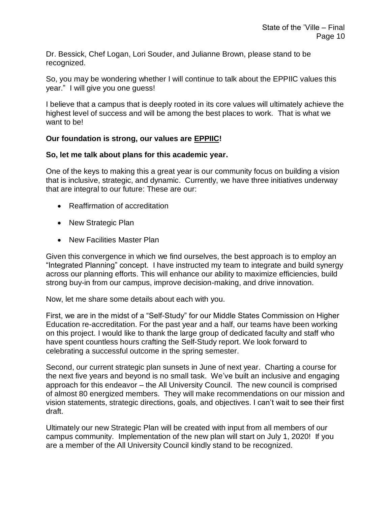Dr. Bessick, Chef Logan, Lori Souder, and Julianne Brown, please stand to be recognized.

So, you may be wondering whether I will continue to talk about the EPPIIC values this year." I will give you one guess!

I believe that a campus that is deeply rooted in its core values will ultimately achieve the highest level of success and will be among the best places to work. That is what we want to be!

## **Our foundation is strong, our values are EPPIIC!**

### **So, let me talk about plans for this academic year.**

One of the keys to making this a great year is our community focus on building a vision that is inclusive, strategic, and dynamic. Currently, we have three initiatives underway that are integral to our future: These are our:

- Reaffirmation of accreditation
- New Strategic Plan
- New Facilities Master Plan

Given this convergence in which we find ourselves, the best approach is to employ an "Integrated Planning" concept. I have instructed my team to integrate and build synergy across our planning efforts. This will enhance our ability to maximize efficiencies, build strong buy-in from our campus, improve decision-making, and drive innovation.

Now, let me share some details about each with you.

First, we are in the midst of a "Self-Study" for our Middle States Commission on Higher Education re-accreditation. For the past year and a half, our teams have been working on this project. I would like to thank the large group of dedicated faculty and staff who have spent countless hours crafting the Self-Study report. We look forward to celebrating a successful outcome in the spring semester.

Second, our current strategic plan sunsets in June of next year. Charting a course for the next five years and beyond is no small task. We've built an inclusive and engaging approach for this endeavor – the All University Council. The new council is comprised of almost 80 energized members. They will make recommendations on our mission and vision statements, strategic directions, goals, and objectives. I can't wait to see their first draft.

Ultimately our new Strategic Plan will be created with input from all members of our campus community. Implementation of the new plan will start on July 1, 2020! If you are a member of the All University Council kindly stand to be recognized.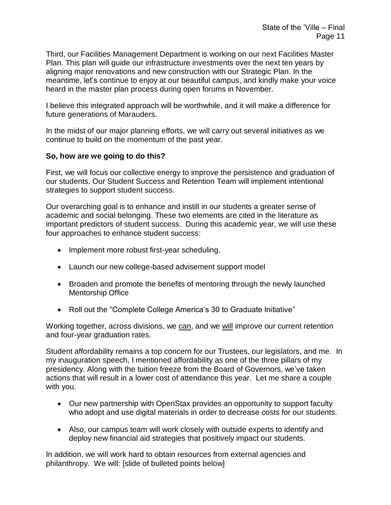Third, our Facilities Management Department is working on our next Facilities Master Plan. This plan will guide our infrastructure investments over the next ten years by aligning major renovations and new construction with our Strategic Plan. In the meantime, let's continue to enjoy at our beautiful campus, and kindly make your voice heard in the master plan process during open forums in November.

I believe this integrated approach will be worthwhile, and it will make a difference for future generations of Marauders.

In the midst of our major planning efforts, we will carry out several initiatives as we continue to build on the momentum of the past year.

## **So, how are we going to do this?**

First, we will focus our collective energy to improve the persistence and graduation of our students. Our Student Success and Retention Team will implement intentional strategies to support student success.

Our overarching goal is to enhance and instill in our students a greater sense of academic and social belonging. These two elements are cited in the literature as important predictors of student success. During this academic year, we will use these four approaches to enhance student success:

- Implement more robust first-year scheduling.
- Launch our new college-based advisement support model
- Broaden and promote the benefits of mentoring through the newly launched Mentorship Office
- Roll out the "Complete College America's 30 to Graduate Initiative"

Working together, across divisions, we can, and we will improve our current retention and four-year graduation rates.

Student affordability remains a top concern for our Trustees, our legislators, and me. In my inauguration speech, I mentioned affordability as one of the three pillars of my presidency. Along with the tuition freeze from the Board of Governors, we've taken actions that will result in a lower cost of attendance this year. Let me share a couple with you.

- Our new partnership with OpenStax provides an opportunity to support faculty who adopt and use digital materials in order to decrease costs for our students.
- Also, our campus team will work closely with outside experts to identify and deploy new financial aid strategies that positively impact our students.

In addition, we will work hard to obtain resources from external agencies and philanthropy. We will: [slide of bulleted points below]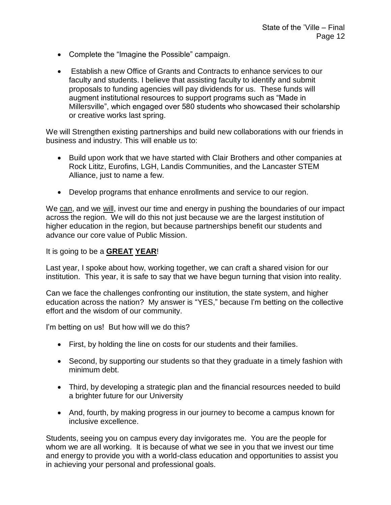- Complete the "Imagine the Possible" campaign.
- Establish a new Office of Grants and Contracts to enhance services to our faculty and students. I believe that assisting faculty to identify and submit proposals to funding agencies will pay dividends for us. These funds will augment institutional resources to support programs such as "Made in Millersville", which engaged over 580 students who showcased their scholarship or creative works last spring.

We will Strengthen existing partnerships and build new collaborations with our friends in business and industry. This will enable us to:

- Build upon work that we have started with Clair Brothers and other companies at Rock Lititz, Eurofins, LGH, Landis Communities, and the Lancaster STEM Alliance, just to name a few.
- Develop programs that enhance enrollments and service to our region.

We can, and we will, invest our time and energy in pushing the boundaries of our impact across the region. We will do this not just because we are the largest institution of higher education in the region, but because partnerships benefit our students and advance our core value of Public Mission.

It is going to be a **GREAT YEAR**!

Last year, I spoke about how, working together, we can craft a shared vision for our institution. This year, it is safe to say that we have begun turning that vision into reality.

Can we face the challenges confronting our institution, the state system, and higher education across the nation? My answer is "YES," because I'm betting on the collective effort and the wisdom of our community.

I'm betting on us! But how will we do this?

- First, by holding the line on costs for our students and their families.
- Second, by supporting our students so that they graduate in a timely fashion with minimum debt.
- Third, by developing a strategic plan and the financial resources needed to build a brighter future for our University
- And, fourth, by making progress in our journey to become a campus known for inclusive excellence.

Students, seeing you on campus every day invigorates me. You are the people for whom we are all working. It is because of what we see in you that we invest our time and energy to provide you with a world-class education and opportunities to assist you in achieving your personal and professional goals.